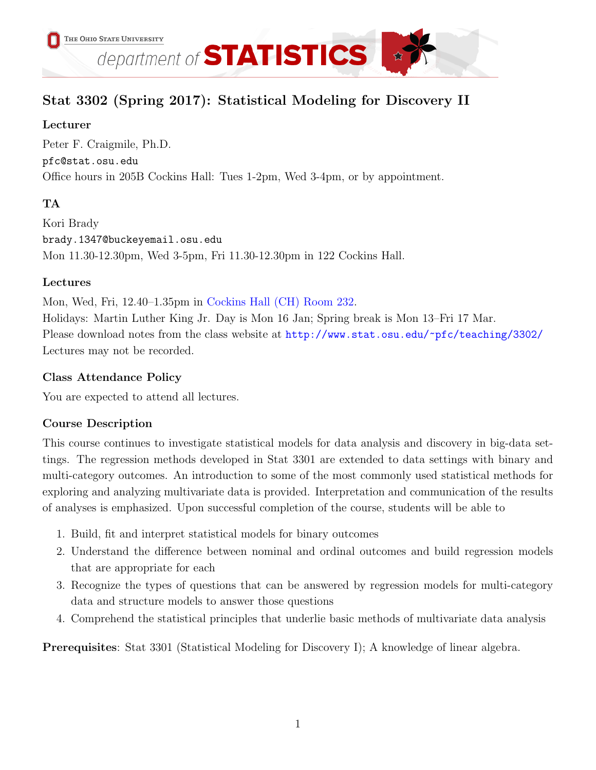

# Stat 3302 (Spring 2017): Statistical Modeling for Discovery II

# Lecturer

Peter F. Craigmile, Ph.D. pfc@stat.osu.edu Office hours in 205B Cockins Hall: Tues 1-2pm, Wed 3-4pm, or by appointment.

# TA

Kori Brady brady.1347@buckeyemail.osu.edu Mon 11.30-12.30pm, Wed 3-5pm, Fri 11.30-12.30pm in 122 Cockins Hall.

# Lectures

Mon, Wed, Fri, 12.40–1.35pm in [Cockins Hall \(CH\) Room 232.](http://www.osu.edu/map/building.php?building=063)

Holidays: Martin Luther King Jr. Day is Mon 16 Jan; Spring break is Mon 13–Fri 17 Mar. Please download notes from the class website at <http://www.stat.osu.edu/~pfc/teaching/3302/> Lectures may not be recorded.

# Class Attendance Policy

You are expected to attend all lectures.

# Course Description

This course continues to investigate statistical models for data analysis and discovery in big-data settings. The regression methods developed in Stat 3301 are extended to data settings with binary and multi-category outcomes. An introduction to some of the most commonly used statistical methods for exploring and analyzing multivariate data is provided. Interpretation and communication of the results of analyses is emphasized. Upon successful completion of the course, students will be able to

- 1. Build, fit and interpret statistical models for binary outcomes
- 2. Understand the difference between nominal and ordinal outcomes and build regression models that are appropriate for each
- 3. Recognize the types of questions that can be answered by regression models for multi-category data and structure models to answer those questions
- 4. Comprehend the statistical principles that underlie basic methods of multivariate data analysis

Prerequisites: Stat 3301 (Statistical Modeling for Discovery I); A knowledge of linear algebra.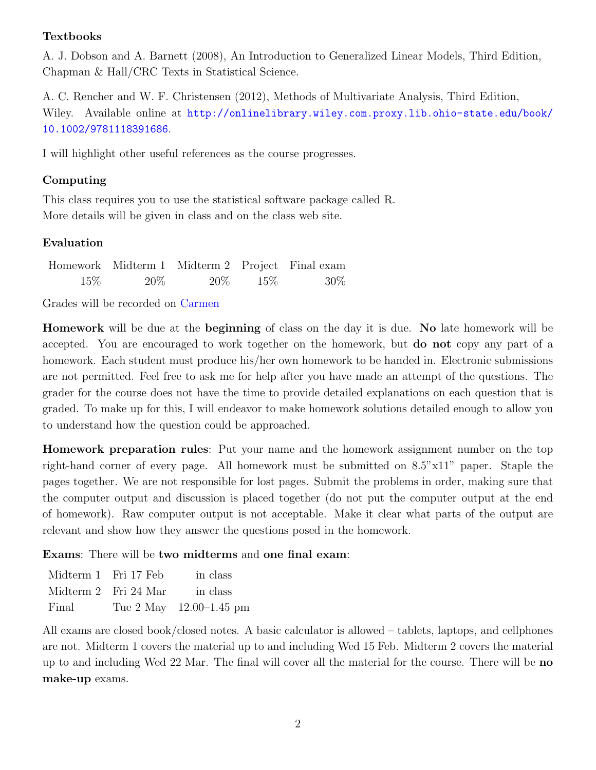#### Textbooks

A. J. Dobson and A. Barnett (2008), An Introduction to Generalized Linear Models, Third Edition, Chapman & Hall/CRC Texts in Statistical Science.

A. C. Rencher and W. F. Christensen (2012), Methods of Multivariate Analysis, Third Edition, Wiley. Available online at [http://onlinelibrary.wiley.com.proxy.lib.ohio-state.edu/book/](http://onlinelibrary.wiley.com.proxy.lib.ohio-state.edu/book/10.1002/9781118391686) [10.1002/9781118391686](http://onlinelibrary.wiley.com.proxy.lib.ohio-state.edu/book/10.1002/9781118391686).

I will highlight other useful references as the course progresses.

#### Computing

This class requires you to use the statistical software package called R. More details will be given in class and on the class web site.

### Evaluation

|        |        | Homework Midterm 1 Midterm 2 Project Final exam |               |        |
|--------|--------|-------------------------------------------------|---------------|--------|
| $15\%$ | $20\%$ |                                                 | $20\%$ $15\%$ | $30\%$ |

Grades will be recorded on [Carmen](https://carmen.osu.edu/)

Homework will be due at the beginning of class on the day it is due. No late homework will be accepted. You are encouraged to work together on the homework, but do not copy any part of a homework. Each student must produce his/her own homework to be handed in. Electronic submissions are not permitted. Feel free to ask me for help after you have made an attempt of the questions. The grader for the course does not have the time to provide detailed explanations on each question that is graded. To make up for this, I will endeavor to make homework solutions detailed enough to allow you to understand how the question could be approached.

Homework preparation rules: Put your name and the homework assignment number on the top right-hand corner of every page. All homework must be submitted on 8.5"x11" paper. Staple the pages together. We are not responsible for lost pages. Submit the problems in order, making sure that the computer output and discussion is placed together (do not put the computer output at the end of homework). Raw computer output is not acceptable. Make it clear what parts of the output are relevant and show how they answer the questions posed in the homework.

Exams: There will be two midterms and one final exam:

| Midterm 1 Fri 17 Feb |                      | in class                    |
|----------------------|----------------------|-----------------------------|
|                      | Midterm 2 Fri 24 Mar | in class                    |
| Final                |                      | Tue $2$ May $12.00-1.45$ pm |

All exams are closed book/closed notes. A basic calculator is allowed – tablets, laptops, and cellphones are not. Midterm 1 covers the material up to and including Wed 15 Feb. Midterm 2 covers the material up to and including Wed 22 Mar. The final will cover all the material for the course. There will be no make-up exams.